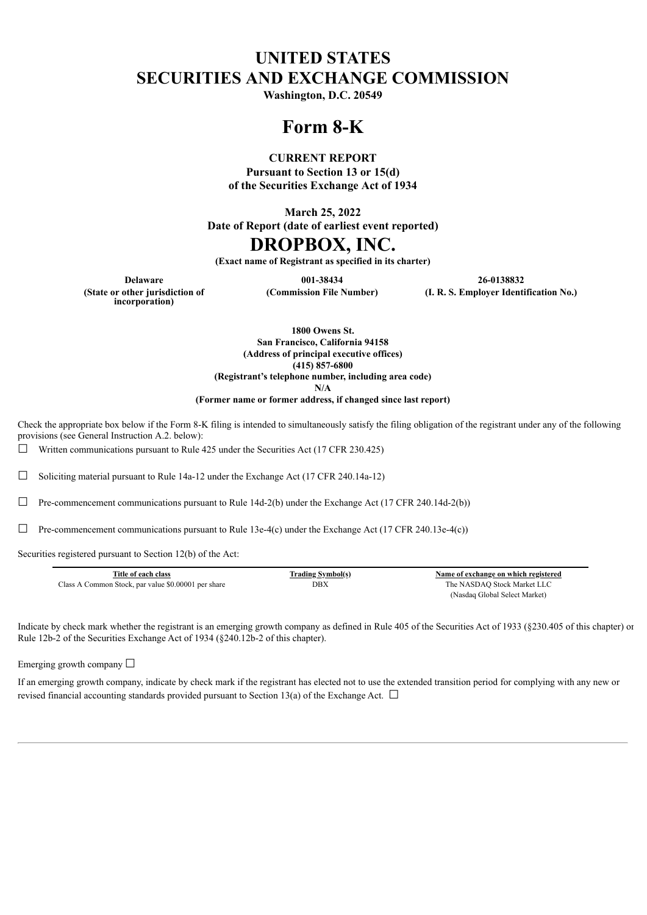# **UNITED STATES SECURITIES AND EXCHANGE COMMISSION**

**Washington, D.C. 20549**

# **Form 8-K**

#### **CURRENT REPORT**

**Pursuant to Section 13 or 15(d) of the Securities Exchange Act of 1934**

**March 25, 2022**

**Date of Report (date of earliest event reported)**

## **DROPBOX, INC.**

**(Exact name of Registrant as specified in its charter)**

**(State or other jurisdiction of incorporation)**

**Delaware 001-38434 26-0138832 (Commission File Number) (I. R. S. Employer Identification No.)**

> **1800 Owens St. San Francisco, California 94158 (Address of principal executive offices) (415) 857-6800 (Registrant's telephone number, including area code)**

> > **N/A**

**(Former name or former address, if changed since last report)**

Check the appropriate box below if the Form 8-K filing is intended to simultaneously satisfy the filing obligation of the registrant under any of the following provisions (see General Instruction A.2. below):

 $\Box$  Written communications pursuant to Rule 425 under the Securities Act (17 CFR 230.425)

☐ Soliciting material pursuant to Rule 14a-12 under the Exchange Act (17 CFR 240.14a-12)

 $\Box$  Pre-commencement communications pursuant to Rule 14d-2(b) under the Exchange Act (17 CFR 240.14d-2(b))

 $\Box$  Pre-commencement communications pursuant to Rule 13e-4(c) under the Exchange Act (17 CFR 240.13e-4(c))

Securities registered pursuant to Section 12(b) of the Act:

| Title of each class                                 | <b>Trading Symbol(s)</b> | Name of exchange on which registered |
|-----------------------------------------------------|--------------------------|--------------------------------------|
| Class A Common Stock, par value \$0.00001 per share | DBX                      | The NASDAQ Stock Market LLC          |
|                                                     |                          | (Nasdaq Global Select Market)        |

Indicate by check mark whether the registrant is an emerging growth company as defined in Rule 405 of the Securities Act of 1933 (§230.405 of this chapter) or Rule 12b-2 of the Securities Exchange Act of 1934 (§240.12b-2 of this chapter).

Emerging growth company  $\Box$ 

If an emerging growth company, indicate by check mark if the registrant has elected not to use the extended transition period for complying with any new or revised financial accounting standards provided pursuant to Section 13(a) of the Exchange Act.  $\Box$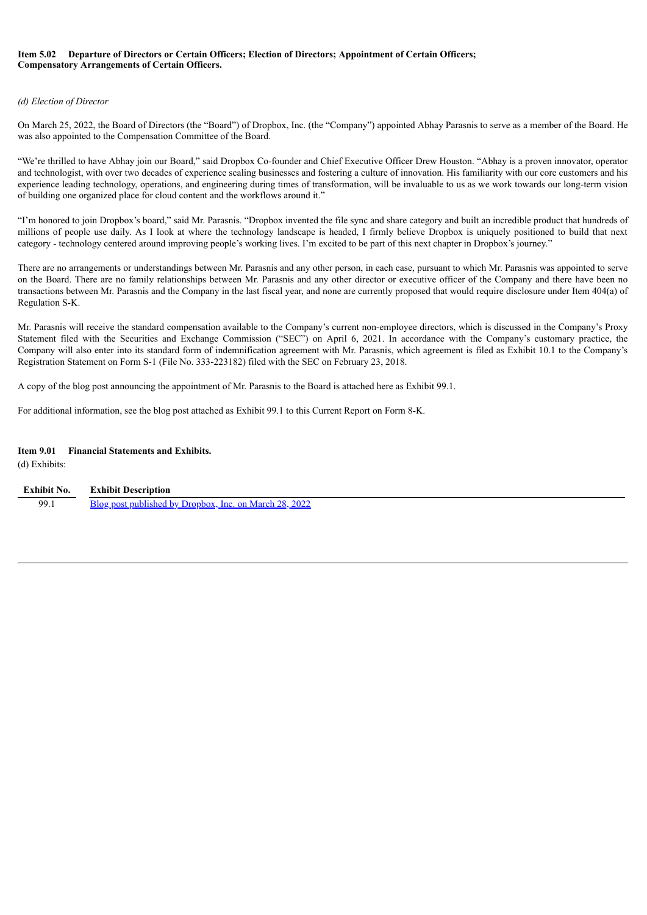#### **Item 5.02 Departure of Directors or Certain Officers; Election of Directors; Appointment of Certain Officers; Compensatory Arrangements of Certain Officers.**

#### *(d) Election of Director*

On March 25, 2022, the Board of Directors (the "Board") of Dropbox, Inc. (the "Company") appointed Abhay Parasnis to serve as a member of the Board. He was also appointed to the Compensation Committee of the Board.

"We're thrilled to have Abhay join our Board," said Dropbox Co-founder and Chief Executive Officer Drew Houston. "Abhay is a proven innovator, operator and technologist, with over two decades of experience scaling businesses and fostering a culture of innovation. His familiarity with our core customers and his experience leading technology, operations, and engineering during times of transformation, will be invaluable to us as we work towards our long-term vision of building one organized place for cloud content and the workflows around it."

"I'm honored to join Dropbox's board," said Mr. Parasnis. "Dropbox invented the file sync and share category and built an incredible product that hundreds of millions of people use daily. As I look at where the technology landscape is headed, I firmly believe Dropbox is uniquely positioned to build that next category - technology centered around improving people's working lives. I'm excited to be part of this next chapter in Dropbox's journey."

There are no arrangements or understandings between Mr. Parasnis and any other person, in each case, pursuant to which Mr. Parasnis was appointed to serve on the Board. There are no family relationships between Mr. Parasnis and any other director or executive officer of the Company and there have been no transactions between Mr. Parasnis and the Company in the last fiscal year, and none are currently proposed that would require disclosure under Item 404(a) of Regulation S-K.

Mr. Parasnis will receive the standard compensation available to the Company's current non-employee directors, which is discussed in the Company's Proxy Statement filed with the Securities and Exchange Commission ("SEC") on April 6, 2021. In accordance with the Company's customary practice, the Company will also enter into its standard form of indemnification agreement with Mr. Parasnis, which agreement is filed as Exhibit 10.1 to the Company's Registration Statement on Form S-1 (File No. 333-223182) filed with the SEC on February 23, 2018.

A copy of the blog post announcing the appointment of Mr. Parasnis to the Board is attached here as Exhibit 99.1.

For additional information, see the blog post attached as Exhibit 99.1 to this Current Report on Form 8-K.

#### **Item 9.01 Financial Statements and Exhibits.**

(d) Exhibits:

| Exhibit No. | <b>Exhibit Description</b>                             |
|-------------|--------------------------------------------------------|
| 99.1        | Blog post published by Dropbox, Inc. on March 28, 2022 |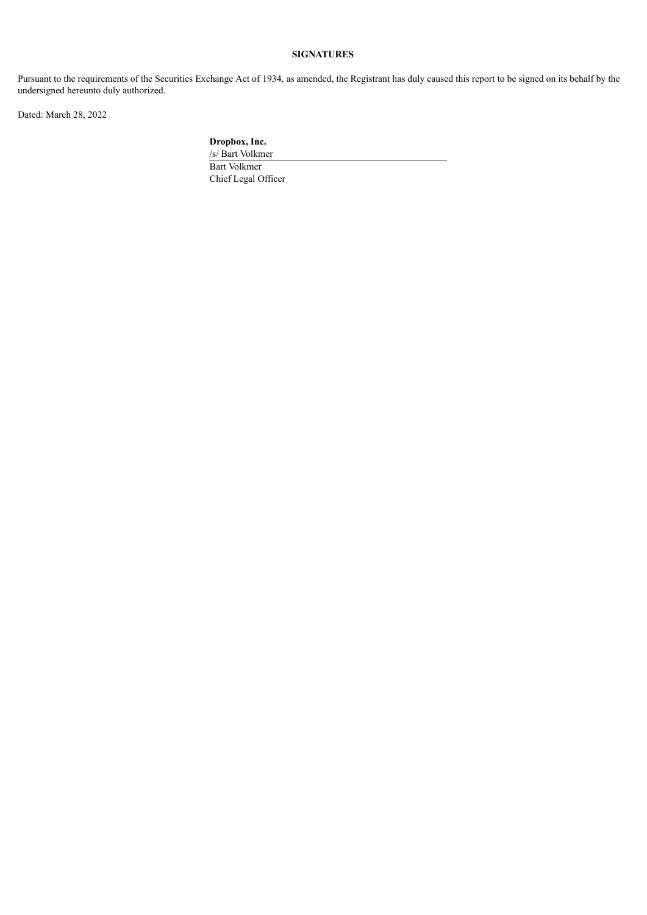### **SIGNATURES**

Pursuant to the requirements of the Securities Exchange Act of 1934, as amended, the Registrant has duly caused this report to be signed on its behalf by the undersigned hereunto duly authorized.

Dated: March 28, 2022

**Dropbox, Inc.**

/s/ Bart Volkmer Bart Volkmer Chief Legal Officer